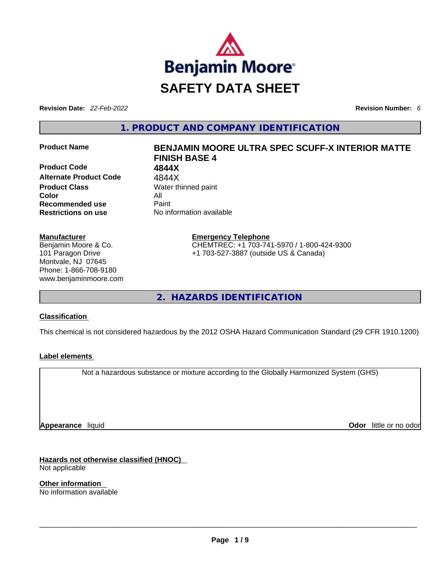

**Revision Date:** *22-Feb-2022* **Revision Number:** *6*

**1. PRODUCT AND COMPANY IDENTIFICATION** 

**Product Code 4844X Alternate Product Code** 4844X **Product Class Water thinned paint Color** All **Recommended use Paint Restrictions on use** No information available

#### **Manufacturer**

Benjamin Moore & Co. 101 Paragon Drive Montvale, NJ 07645 Phone: 1-866-708-9180 www.benjaminmoore.com

# **Product Name BENJAMIN MOORE ULTRA SPEC SCUFF-X INTERIOR MATTE FINISH BASE 4**

**Emergency Telephone** CHEMTREC: +1 703-741-5970 / 1-800-424-9300 +1 703-527-3887 (outside US & Canada)

**2. HAZARDS IDENTIFICATION** 

### **Classification**

This chemical is not considered hazardous by the 2012 OSHA Hazard Communication Standard (29 CFR 1910.1200)

### **Label elements**

Not a hazardous substance or mixture according to the Globally Harmonized System (GHS)

**Appearance** liquid

**Odor** little or no odor

**Hazards not otherwise classified (HNOC)**  Not applicable

**Other information**  No information available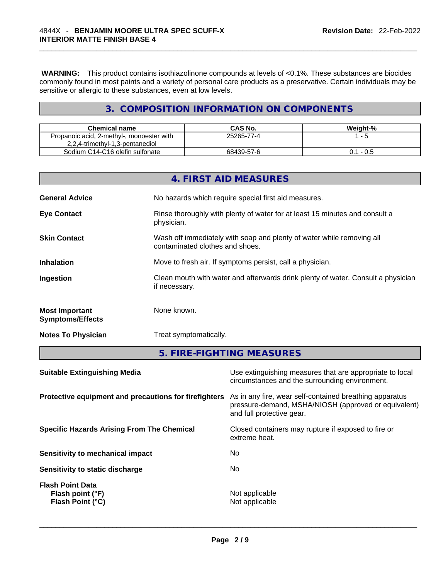**WARNING:** This product contains isothiazolinone compounds at levels of <0.1%. These substances are biocides commonly found in most paints and a variety of personal care products as a preservative. Certain individuals may be sensitive or allergic to these substances, even at low levels.

# **3. COMPOSITION INFORMATION ON COMPONENTS**

| <b>Chemical name</b>                      | CAS No.    | Weight-%    |
|-------------------------------------------|------------|-------------|
| Propanoic acid, 2-methyl-, monoester with | 25265-77-4 | - 5         |
| 2,2,4-trimethyl-1,3-pentanediol           |            |             |
| Sodium C14-C16 olefin sulfonate           | 68439-57-6 | $0.1 - 0.5$ |

|                                                  | 4. FIRST AID MEASURES                                                                                    |
|--------------------------------------------------|----------------------------------------------------------------------------------------------------------|
| <b>General Advice</b>                            | No hazards which require special first aid measures.                                                     |
| <b>Eye Contact</b>                               | Rinse thoroughly with plenty of water for at least 15 minutes and consult a<br>physician.                |
| <b>Skin Contact</b>                              | Wash off immediately with soap and plenty of water while removing all<br>contaminated clothes and shoes. |
| <b>Inhalation</b>                                | Move to fresh air. If symptoms persist, call a physician.                                                |
| Ingestion                                        | Clean mouth with water and afterwards drink plenty of water. Consult a physician<br>if necessary.        |
| <b>Most Important</b><br><b>Symptoms/Effects</b> | None known.                                                                                              |
| <b>Notes To Physician</b>                        | Treat symptomatically.                                                                                   |

# **5. FIRE-FIGHTING MEASURES**

| <b>Suitable Extinguishing Media</b>                             | Use extinguishing measures that are appropriate to local<br>circumstances and the surrounding environment.                                   |
|-----------------------------------------------------------------|----------------------------------------------------------------------------------------------------------------------------------------------|
| Protective equipment and precautions for firefighters           | As in any fire, wear self-contained breathing apparatus<br>pressure-demand, MSHA/NIOSH (approved or equivalent)<br>and full protective gear. |
| <b>Specific Hazards Arising From The Chemical</b>               | Closed containers may rupture if exposed to fire or<br>extreme heat.                                                                         |
| <b>Sensitivity to mechanical impact</b>                         | No                                                                                                                                           |
| Sensitivity to static discharge                                 | No.                                                                                                                                          |
| <b>Flash Point Data</b><br>Flash point (°F)<br>Flash Point (°C) | Not applicable<br>Not applicable                                                                                                             |
|                                                                 |                                                                                                                                              |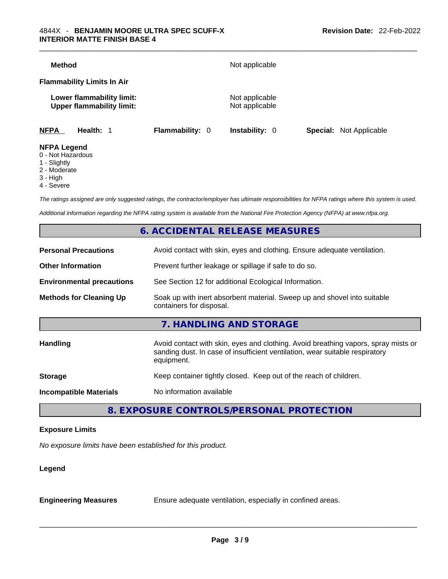| <b>Method</b>                                                 |                        | Not applicable                   |                                |
|---------------------------------------------------------------|------------------------|----------------------------------|--------------------------------|
| <b>Flammability Limits In Air</b>                             |                        |                                  |                                |
| Lower flammability limit:<br><b>Upper flammability limit:</b> |                        | Not applicable<br>Not applicable |                                |
| <b>NFPA</b><br>Health: 1                                      | <b>Flammability: 0</b> | <b>Instability: 0</b>            | <b>Special:</b> Not Applicable |
| <b>NFPA Legend</b>                                            |                        |                                  |                                |

- 0 Not Hazardous
- 1 Slightly
- 2 Moderate
- 3 High
- 4 Severe

*The ratings assigned are only suggested ratings, the contractor/employer has ultimate responsibilities for NFPA ratings where this system is used.* 

*Additional information regarding the NFPA rating system is available from the National Fire Protection Agency (NFPA) at www.nfpa.org.* 

# **6. ACCIDENTAL RELEASE MEASURES**

| <b>Personal Precautions</b>      | Avoid contact with skin, eyes and clothing. Ensure adequate ventilation.                                                                                                         |
|----------------------------------|----------------------------------------------------------------------------------------------------------------------------------------------------------------------------------|
| <b>Other Information</b>         | Prevent further leakage or spillage if safe to do so.                                                                                                                            |
| <b>Environmental precautions</b> | See Section 12 for additional Ecological Information.                                                                                                                            |
| <b>Methods for Cleaning Up</b>   | Soak up with inert absorbent material. Sweep up and shovel into suitable<br>containers for disposal.                                                                             |
|                                  | 7. HANDLING AND STORAGE                                                                                                                                                          |
| <b>Handling</b>                  | Avoid contact with skin, eyes and clothing. Avoid breathing vapors, spray mists or<br>sanding dust. In case of insufficient ventilation, wear suitable respiratory<br>equipment. |
| <b>Storage</b>                   | Keep container tightly closed. Keep out of the reach of children.                                                                                                                |
| <b>Incompatible Materials</b>    | No information available                                                                                                                                                         |
|                                  |                                                                                                                                                                                  |

# **8. EXPOSURE CONTROLS/PERSONAL PROTECTION**

#### **Exposure Limits**

*No exposure limits have been established for this product.* 

#### **Legend**

**Engineering Measures** Ensure adequate ventilation, especially in confined areas.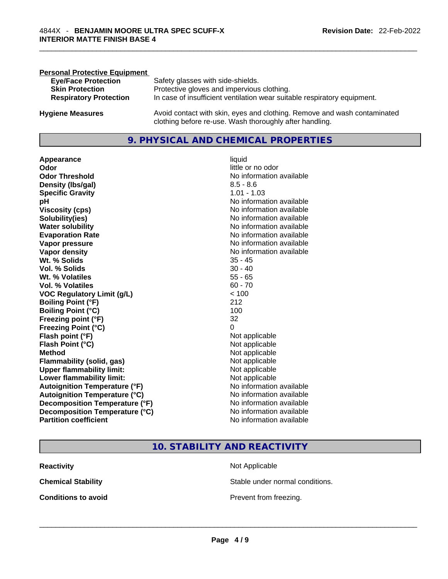| <b>Personal Protective Equipment</b> |                                                                                                                                     |
|--------------------------------------|-------------------------------------------------------------------------------------------------------------------------------------|
| <b>Eye/Face Protection</b>           | Safety glasses with side-shields.                                                                                                   |
| <b>Skin Protection</b>               | Protective gloves and impervious clothing.                                                                                          |
| <b>Respiratory Protection</b>        | In case of insufficient ventilation wear suitable respiratory equipment.                                                            |
| <b>Hygiene Measures</b>              | Avoid contact with skin, eyes and clothing. Remove and wash contaminated<br>clothing before re-use. Wash thoroughly after handling. |

# **9. PHYSICAL AND CHEMICAL PROPERTIES**

**Appearance** liquid **Odor Odor Odor Odor Odor Odor** *little* **or no odor Odor Threshold** No information available **Density (Ibs/gal)** 8.5 - 8.6<br> **Specific Gravity** 8.5 - 8.6 **Specific Gravity pH pH No** information available **Viscosity (cps) Viscosity (cps) No information available Solubility(ies)** No information available **Evaporation Rate No information available No information available Vapor pressure**  No information available **No information** available **Vapor density No information available No** information available **Wt. % Solids** 35 - 45 **Vol. % Solids** 30 - 40 **Wt. % Volatiles Vol. % Volatiles**  60 - 70<br> **VOC Requiatory Limit (q/L)** 60 - 70 **VOC** Regulatory Limit (g/L) **Boiling Point (°F)** 212 **Boiling Point (°C)** 100 **Freezing point (°F)** 32 **Freezing Point (°C)** 0 **Flash point (°F)** Not applicable **Flash Point (°C)** Not applicable **Method** Not applicable **Flammability (solid, gas)** Not applicable **Upper flammability limit:**<br> **Lower flammability limit:**<br>
Not applicable<br>
Not applicable **Lower flammability limit:**<br> **Autoignition Temperature (°F)** Not applicable Not applicable **Autoignition Temperature (°F)**<br> **Autoignition Temperature (°C)** No information available **Autoignition Temperature (°C) Decomposition Temperature (°F)** No information available **Decomposition Temperature (°C)** No information available **Partition coefficient Community Contract Contract Contract Contract Contract Contract Contract Contract Contract Contract Contract Contract Contract Contract Contract Contract Contract Contract Contract Contract Contr** 

**No information available** 

# **10. STABILITY AND REACTIVITY**

| <b>Reactivity</b>          | Not Applicable                  |
|----------------------------|---------------------------------|
| <b>Chemical Stability</b>  | Stable under normal conditions. |
| <b>Conditions to avoid</b> | Prevent from freezing.          |
|                            |                                 |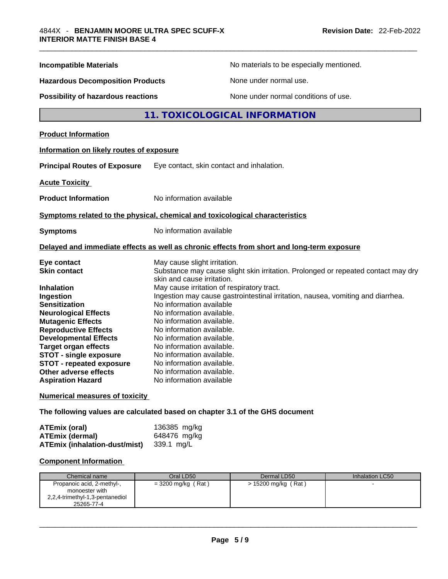| <b>Incompatible Materials</b>                                                                                                                                                                                                                                                                                                                                                  | No materials to be especially mentioned.                                                                                                                                                                                                                                                                                                                                                                                                                                                                                                                                         |  |
|--------------------------------------------------------------------------------------------------------------------------------------------------------------------------------------------------------------------------------------------------------------------------------------------------------------------------------------------------------------------------------|----------------------------------------------------------------------------------------------------------------------------------------------------------------------------------------------------------------------------------------------------------------------------------------------------------------------------------------------------------------------------------------------------------------------------------------------------------------------------------------------------------------------------------------------------------------------------------|--|
| <b>Hazardous Decomposition Products</b>                                                                                                                                                                                                                                                                                                                                        | None under normal use.                                                                                                                                                                                                                                                                                                                                                                                                                                                                                                                                                           |  |
| Possibility of hazardous reactions                                                                                                                                                                                                                                                                                                                                             | None under normal conditions of use.                                                                                                                                                                                                                                                                                                                                                                                                                                                                                                                                             |  |
|                                                                                                                                                                                                                                                                                                                                                                                | 11. TOXICOLOGICAL INFORMATION                                                                                                                                                                                                                                                                                                                                                                                                                                                                                                                                                    |  |
| <b>Product Information</b>                                                                                                                                                                                                                                                                                                                                                     |                                                                                                                                                                                                                                                                                                                                                                                                                                                                                                                                                                                  |  |
| Information on likely routes of exposure                                                                                                                                                                                                                                                                                                                                       |                                                                                                                                                                                                                                                                                                                                                                                                                                                                                                                                                                                  |  |
| <b>Principal Routes of Exposure</b>                                                                                                                                                                                                                                                                                                                                            | Eye contact, skin contact and inhalation.                                                                                                                                                                                                                                                                                                                                                                                                                                                                                                                                        |  |
| <b>Acute Toxicity</b>                                                                                                                                                                                                                                                                                                                                                          |                                                                                                                                                                                                                                                                                                                                                                                                                                                                                                                                                                                  |  |
| <b>Product Information</b>                                                                                                                                                                                                                                                                                                                                                     | No information available                                                                                                                                                                                                                                                                                                                                                                                                                                                                                                                                                         |  |
|                                                                                                                                                                                                                                                                                                                                                                                | Symptoms related to the physical, chemical and toxicological characteristics                                                                                                                                                                                                                                                                                                                                                                                                                                                                                                     |  |
| <b>Symptoms</b>                                                                                                                                                                                                                                                                                                                                                                | No information available                                                                                                                                                                                                                                                                                                                                                                                                                                                                                                                                                         |  |
|                                                                                                                                                                                                                                                                                                                                                                                | Delayed and immediate effects as well as chronic effects from short and long-term exposure                                                                                                                                                                                                                                                                                                                                                                                                                                                                                       |  |
| Eye contact<br><b>Skin contact</b><br><b>Inhalation</b><br>Ingestion<br><b>Sensitization</b><br><b>Neurological Effects</b><br><b>Mutagenic Effects</b><br><b>Reproductive Effects</b><br><b>Developmental Effects</b><br><b>Target organ effects</b><br><b>STOT - single exposure</b><br><b>STOT - repeated exposure</b><br>Other adverse effects<br><b>Aspiration Hazard</b> | May cause slight irritation.<br>Substance may cause slight skin irritation. Prolonged or repeated contact may dry<br>skin and cause irritation.<br>May cause irritation of respiratory tract.<br>Ingestion may cause gastrointestinal irritation, nausea, vomiting and diarrhea.<br>No information available<br>No information available.<br>No information available.<br>No information available.<br>No information available.<br>No information available.<br>No information available.<br>No information available.<br>No information available.<br>No information available |  |
| <b>Numerical measures of toxicity</b>                                                                                                                                                                                                                                                                                                                                          |                                                                                                                                                                                                                                                                                                                                                                                                                                                                                                                                                                                  |  |
|                                                                                                                                                                                                                                                                                                                                                                                |                                                                                                                                                                                                                                                                                                                                                                                                                                                                                                                                                                                  |  |

**The following values are calculated based on chapter 3.1 of the GHS document**

| <b>ATEmix (oral)</b>                            | 136385 mg/kg |
|-------------------------------------------------|--------------|
| <b>ATEmix (dermal)</b>                          | 648476 mg/kg |
| <b>ATEmix (inhalation-dust/mist)</b> 339.1 mg/L |              |

# **Component Information**

| Chemical name                                                                                 | Oral LD50            | Dermal LD50         | Inhalation LC50 |
|-----------------------------------------------------------------------------------------------|----------------------|---------------------|-----------------|
| Propanoic acid, 2-methyl-,<br>monoester with<br>2,2,4-trimethyl-1,3-pentanediol<br>25265-77-4 | $=$ 3200 mg/kg (Rat) | > 15200 mg/kg (Rat) |                 |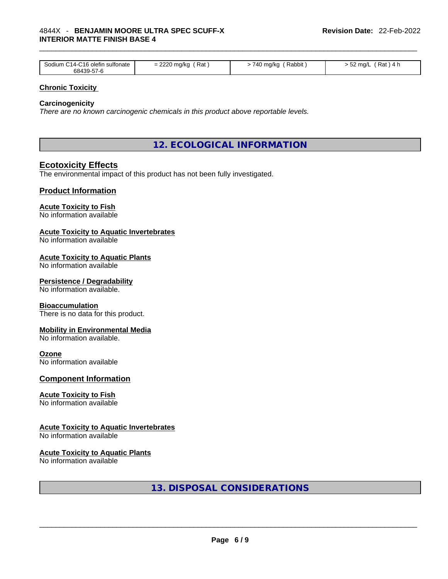| . .<br>Rat<br>0.000<br>-C16 olefin<br>710<br>Rabbit<br>Rat<br>ma/kc<br>⊧ma/kc<br>sultonate<br>ma/L<br>Sodilim<br>. 4-1<br>$\mathbf{A}$<br>ັ<br>$\cdot$ $\cdot$<br>.<br>68439-5<br>、/ _r |
|-----------------------------------------------------------------------------------------------------------------------------------------------------------------------------------------|
|-----------------------------------------------------------------------------------------------------------------------------------------------------------------------------------------|

#### **Chronic Toxicity**

#### **Carcinogenicity**

*There are no known carcinogenic chemicals in this product above reportable levels.* 

**12. ECOLOGICAL INFORMATION** 

# **Ecotoxicity Effects**

The environmental impact of this product has not been fully investigated.

#### **Product Information**

#### **Acute Toxicity to Fish**

No information available

#### **Acute Toxicity to Aquatic Invertebrates**

No information available

#### **Acute Toxicity to Aquatic Plants**

No information available

#### **Persistence / Degradability**

No information available.

#### **Bioaccumulation**

There is no data for this product.

#### **Mobility in Environmental Media**

No information available.

#### **Ozone**

No information available

#### **Component Information**

#### **Acute Toxicity to Fish**

No information available

### **Acute Toxicity to Aquatic Invertebrates**

No information available

#### **Acute Toxicity to Aquatic Plants**

No information available

**13. DISPOSAL CONSIDERATIONS**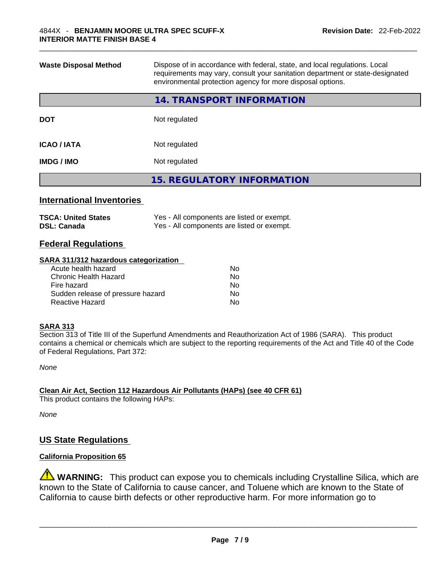| requirements may vary, consult your sanitation department or state-designated<br>environmental protection agency for more disposal options. |
|---------------------------------------------------------------------------------------------------------------------------------------------|
| 14. TRANSPORT INFORMATION                                                                                                                   |
| Not regulated                                                                                                                               |
| Not regulated                                                                                                                               |
| Not regulated                                                                                                                               |
| <b>15. REGULATORY INFORMATION</b>                                                                                                           |
|                                                                                                                                             |

#### **International Inventories**

| <b>TSCA: United States</b> | Yes - All components are listed or exempt. |
|----------------------------|--------------------------------------------|
| <b>DSL: Canada</b>         | Yes - All components are listed or exempt. |

# **Federal Regulations**

#### **SARA 311/312 hazardous categorization**

| Acute health hazard               | No  |  |
|-----------------------------------|-----|--|
| Chronic Health Hazard             | Nο  |  |
| Fire hazard                       | No  |  |
| Sudden release of pressure hazard | No. |  |
| Reactive Hazard                   | Nο  |  |
|                                   |     |  |

#### **SARA 313**

Section 313 of Title III of the Superfund Amendments and Reauthorization Act of 1986 (SARA). This product contains a chemical or chemicals which are subject to the reporting requirements of the Act and Title 40 of the Code of Federal Regulations, Part 372:

*None*

**Clean Air Act,Section 112 Hazardous Air Pollutants (HAPs) (see 40 CFR 61)** This product contains the following HAPs:

*None*

# **US State Regulations**

# **California Proposition 65**

**WARNING:** This product can expose you to chemicals including Crystalline Silica, which are known to the State of California to cause cancer, and Toluene which are known to the State of California to cause birth defects or other reproductive harm. For more information go to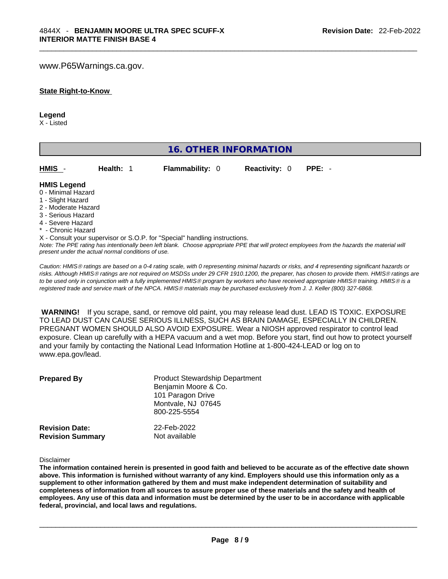#### www.P65Warnings.ca.gov.

#### **State Right-to-Know**

#### **Legend**

X - Listed

| <b>16. OTHER INFORMATION</b>                                                                                                                          |                                                    |                                                                            |                      |                                                                                                                                                 |  |  |
|-------------------------------------------------------------------------------------------------------------------------------------------------------|----------------------------------------------------|----------------------------------------------------------------------------|----------------------|-------------------------------------------------------------------------------------------------------------------------------------------------|--|--|
| HMIS                                                                                                                                                  | Health: 1                                          | Flammability: 0                                                            | <b>Reactivity: 0</b> | $PPE: -$                                                                                                                                        |  |  |
| <b>HMIS Legend</b><br>0 - Minimal Hazard<br>1 - Slight Hazard<br>2 - Moderate Hazard<br>3 - Serious Hazard<br>4 - Severe Hazard<br>* - Chronic Hazard | present under the actual normal conditions of use. | X - Consult your supervisor or S.O.P. for "Special" handling instructions. |                      | Note: The PPE rating has intentionally been left blank. Choose appropriate PPE that will protect employees from the hazards the material will   |  |  |
|                                                                                                                                                       |                                                    |                                                                            |                      | Caution: HMIS® ratings are based on a 0-4 rating scale, with 0 representing minimal hazards or risks, and 4 representing significant hazards or |  |  |

*risks. Although HMISÒ ratings are not required on MSDSs under 29 CFR 1910.1200, the preparer, has chosen to provide them. HMISÒ ratings are to be used only in conjunction with a fully implemented HMISÒ program by workers who have received appropriate HMISÒ training. HMISÒ is a registered trade and service mark of the NPCA. HMISÒ materials may be purchased exclusively from J. J. Keller (800) 327-6868.* 

 **WARNING!** If you scrape, sand, or remove old paint, you may release lead dust. LEAD IS TOXIC. EXPOSURE TO LEAD DUST CAN CAUSE SERIOUS ILLNESS, SUCH AS BRAIN DAMAGE, ESPECIALLY IN CHILDREN. PREGNANT WOMEN SHOULD ALSO AVOID EXPOSURE.Wear a NIOSH approved respirator to control lead exposure. Clean up carefully with a HEPA vacuum and a wet mop. Before you start, find out how to protect yourself and your family by contacting the National Lead Information Hotline at 1-800-424-LEAD or log on to www.epa.gov/lead.

| <b>Prepared By</b>      | <b>Product Stewardship Department</b><br>Benjamin Moore & Co.<br>101 Paragon Drive<br>Montvale, NJ 07645<br>800-225-5554 |
|-------------------------|--------------------------------------------------------------------------------------------------------------------------|
| <b>Revision Date:</b>   | 22-Feb-2022                                                                                                              |
| <b>Revision Summary</b> | Not available                                                                                                            |

Disclaimer

The information contained herein is presented in good faith and believed to be accurate as of the effective date shown above. This information is furnished without warranty of any kind. Employers should use this information only as a **supplement to other information gathered by them and must make independent determination of suitability and** completeness of information from all sources to assure proper use of these materials and the safety and health of employees. Any use of this data and information must be determined by the user to be in accordance with applicable **federal, provincial, and local laws and regulations.**